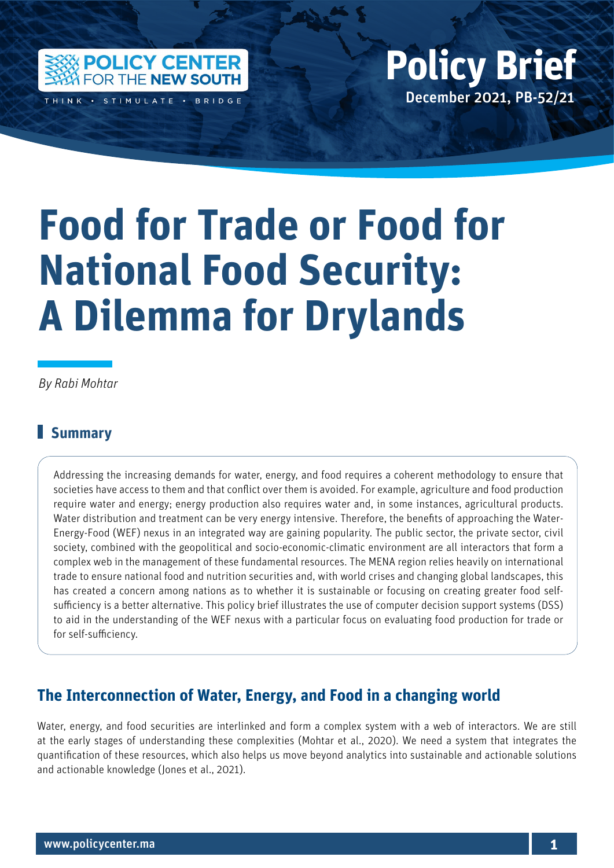

December 2021, PB-52/21 **Policy Brief**

# **Food for Trade or Food for National Food Security: A Dilemma for Drylands**

Policy Center for the New South Policy British Policy British Policy British Policy British Policy British Policy British Policy British Policy British Policy British Policy British Policy British Policy British Policy Bri

*By Rabi Mohtar*

# **Summary**

Addressing the increasing demands for water, energy, and food requires a coherent methodology to ensure that societies have access to them and that conflict over them is avoided. For example, agriculture and food production require water and energy; energy production also requires water and, in some instances, agricultural products. Water distribution and treatment can be very energy intensive. Therefore, the benefits of approaching the Water-Energy-Food (WEF) nexus in an integrated way are gaining popularity. The public sector, the private sector, civil society, combined with the geopolitical and socio-economic-climatic environment are all interactors that form a complex web in the management of these fundamental resources. The MENA region relies heavily on international trade to ensure national food and nutrition securities and, with world crises and changing global landscapes, this has created a concern among nations as to whether it is sustainable or focusing on creating greater food selfsufficiency is a better alternative. This policy brief illustrates the use of computer decision support systems (DSS) to aid in the understanding of the WEF nexus with a particular focus on evaluating food production for trade or for self-sufficiency.

## **The Interconnection of Water, Energy, and Food in a changing world**

Water, energy, and food securities are interlinked and form a complex system with a web of interactors. We are still at the early stages of understanding these complexities (Mohtar et al., 2020). We need a system that integrates the quantification of these resources, which also helps us move beyond analytics into sustainable and actionable solutions and actionable knowledge (Jones et al., 2021).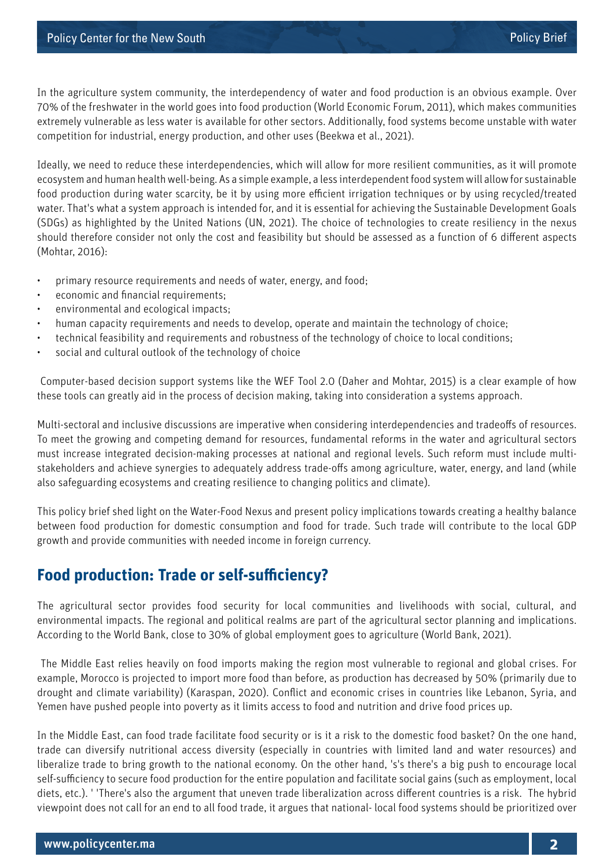In the agriculture system community, the interdependency of water and food production is an obvious example. Over 70% of the freshwater in the world goes into food production (World Economic Forum, 2011), which makes communities extremely vulnerable as less water is available for other sectors. Additionally, food systems become unstable with water competition for industrial, energy production, and other uses (Beekwa et al., 2021).

Ideally, we need to reduce these interdependencies, which will allow for more resilient communities, as it will promote ecosystem and human health well-being. As a simple example, a less interdependent food system will allow for sustainable food production during water scarcity, be it by using more efficient irrigation techniques or by using recycled/treated water. That's what a system approach is intended for, and it is essential for achieving the Sustainable Development Goals (SDGs) as highlighted by the United Nations (UN, 2021). The choice of technologies to create resiliency in the nexus should therefore consider not only the cost and feasibility but should be assessed as a function of 6 different aspects (Mohtar, 2016):

- primary resource requirements and needs of water, energy, and food;
- economic and financial requirements;
- environmental and ecological impacts;
- human capacity requirements and needs to develop, operate and maintain the technology of choice;
- technical feasibility and requirements and robustness of the technology of choice to local conditions;
- social and cultural outlook of the technology of choice

 Computer-based decision support systems like the WEF Tool 2.0 (Daher and Mohtar, 2015) is a clear example of how these tools can greatly aid in the process of decision making, taking into consideration a systems approach.

Multi-sectoral and inclusive discussions are imperative when considering interdependencies and tradeoffs of resources. To meet the growing and competing demand for resources, fundamental reforms in the water and agricultural sectors must increase integrated decision-making processes at national and regional levels. Such reform must include multistakeholders and achieve synergies to adequately address trade-offs among agriculture, water, energy, and land (while also safeguarding ecosystems and creating resilience to changing politics and climate).

This policy brief shed light on the Water-Food Nexus and present policy implications towards creating a healthy balance between food production for domestic consumption and food for trade. Such trade will contribute to the local GDP growth and provide communities with needed income in foreign currency.

## **Food production: Trade or self-sufficiency?**

The agricultural sector provides food security for local communities and livelihoods with social, cultural, and environmental impacts. The regional and political realms are part of the agricultural sector planning and implications. According to the World Bank, close to 30% of global employment goes to agriculture (World Bank, 2021).

 The Middle East relies heavily on food imports making the region most vulnerable to regional and global crises. For example, Morocco is projected to import more food than before, as production has decreased by 50% (primarily due to drought and climate variability) (Karaspan, 2020). Conflict and economic crises in countries like Lebanon, Syria, and Yemen have pushed people into poverty as it limits access to food and nutrition and drive food prices up.

In the Middle East, can food trade facilitate food security or is it a risk to the domestic food basket? On the one hand, trade can diversify nutritional access diversity (especially in countries with limited land and water resources) and liberalize trade to bring growth to the national economy. On the other hand, 's's there's a big push to encourage local self-sufficiency to secure food production for the entire population and facilitate social gains (such as employment, local diets, etc.). ' 'There's also the argument that uneven trade liberalization across different countries is a risk. The hybrid viewpoint does not call for an end to all food trade, it argues that national- local food systems should be prioritized over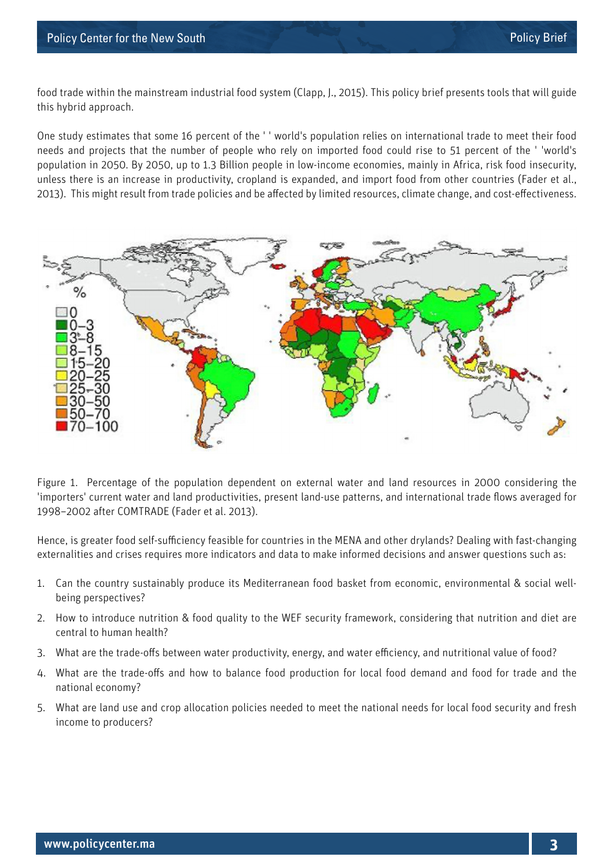food trade within the mainstream industrial food system (Clapp, J., 2015). This policy brief presents tools that will guide this hybrid approach.

One study estimates that some 16 percent of the ' ' world's population relies on international trade to meet their food needs and projects that the number of people who rely on imported food could rise to 51 percent of the ' 'world's population in 2050. By 2050, up to 1.3 Billion people in low-income economies, mainly in Africa, risk food insecurity, unless there is an increase in productivity, cropland is expanded, and import food from other countries (Fader et al., 2013). This might result from trade policies and be affected by limited resources, climate change, and cost-effectiveness.



Figure 1. Percentage of the population dependent on external water and land resources in 2000 considering the 'importers' current water and land productivities, present land-use patterns, and international trade flows averaged for 1998–2002 after COMTRADE (Fader et al. 2013).

Hence, is greater food self-sufficiency feasible for countries in the MENA and other drylands? Dealing with fast-changing externalities and crises requires more indicators and data to make informed decisions and answer questions such as:

- 1. Can the country sustainably produce its Mediterranean food basket from economic, environmental & social wellbeing perspectives?
- 2. How to introduce nutrition & food quality to the WEF security framework, considering that nutrition and diet are central to human health?
- 3. What are the trade-offs between water productivity, energy, and water efficiency, and nutritional value of food?
- 4. What are the trade-offs and how to balance food production for local food demand and food for trade and the national economy?
- 5. What are land use and crop allocation policies needed to meet the national needs for local food security and fresh income to producers?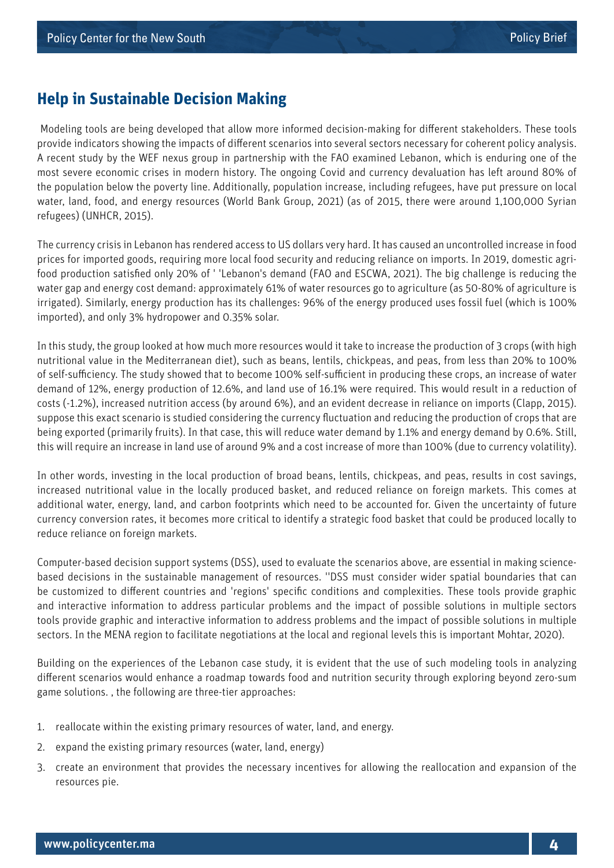## **Help in Sustainable Decision Making**

 Modeling tools are being developed that allow more informed decision-making for different stakeholders. These tools provide indicators showing the impacts of different scenarios into several sectors necessary for coherent policy analysis. A recent study by the WEF nexus group in partnership with the FAO examined Lebanon, which is enduring one of the most severe economic crises in modern history. The ongoing Covid and currency devaluation has left around 80% of the population below the poverty line. Additionally, population increase, including refugees, have put pressure on local water, land, food, and energy resources (World Bank Group, 2021) (as of 2015, there were around 1,100,000 Syrian refugees) (UNHCR, 2015).

The currency crisis in Lebanon has rendered access to US dollars very hard. It has caused an uncontrolled increase in food prices for imported goods, requiring more local food security and reducing reliance on imports. In 2019, domestic agrifood production satisfied only 20% of ' 'Lebanon's demand (FAO and ESCWA, 2021). The big challenge is reducing the water gap and energy cost demand: approximately 61% of water resources go to agriculture (as 50-80% of agriculture is irrigated). Similarly, energy production has its challenges: 96% of the energy produced uses fossil fuel (which is 100% imported), and only 3% hydropower and 0.35% solar.

In this study, the group looked at how much more resources would it take to increase the production of 3 crops (with high nutritional value in the Mediterranean diet), such as beans, lentils, chickpeas, and peas, from less than 20% to 100% of self-sufficiency. The study showed that to become 100% self-sufficient in producing these crops, an increase of water demand of 12%, energy production of 12.6%, and land use of 16.1% were required. This would result in a reduction of costs (-1.2%), increased nutrition access (by around 6%), and an evident decrease in reliance on imports (Clapp, 2015). suppose this exact scenario is studied considering the currency fluctuation and reducing the production of crops that are being exported (primarily fruits). In that case, this will reduce water demand by 1.1% and energy demand by 0.6%. Still, this will require an increase in land use of around 9% and a cost increase of more than 100% (due to currency volatility).

In other words, investing in the local production of broad beans, lentils, chickpeas, and peas, results in cost savings, increased nutritional value in the locally produced basket, and reduced reliance on foreign markets. This comes at additional water, energy, land, and carbon footprints which need to be accounted for. Given the uncertainty of future currency conversion rates, it becomes more critical to identify a strategic food basket that could be produced locally to reduce reliance on foreign markets.

Computer-based decision support systems (DSS), used to evaluate the scenarios above, are essential in making sciencebased decisions in the sustainable management of resources. ''DSS must consider wider spatial boundaries that can be customized to different countries and 'regions' specific conditions and complexities. These tools provide graphic and interactive information to address particular problems and the impact of possible solutions in multiple sectors tools provide graphic and interactive information to address problems and the impact of possible solutions in multiple sectors. In the MENA region to facilitate negotiations at the local and regional levels this is important Mohtar, 2020).

Building on the experiences of the Lebanon case study, it is evident that the use of such modeling tools in analyzing different scenarios would enhance a roadmap towards food and nutrition security through exploring beyond zero-sum game solutions. , the following are three-tier approaches:

- 1. reallocate within the existing primary resources of water, land, and energy.
- 2. expand the existing primary resources (water, land, energy)
- 3. create an environment that provides the necessary incentives for allowing the reallocation and expansion of the resources pie.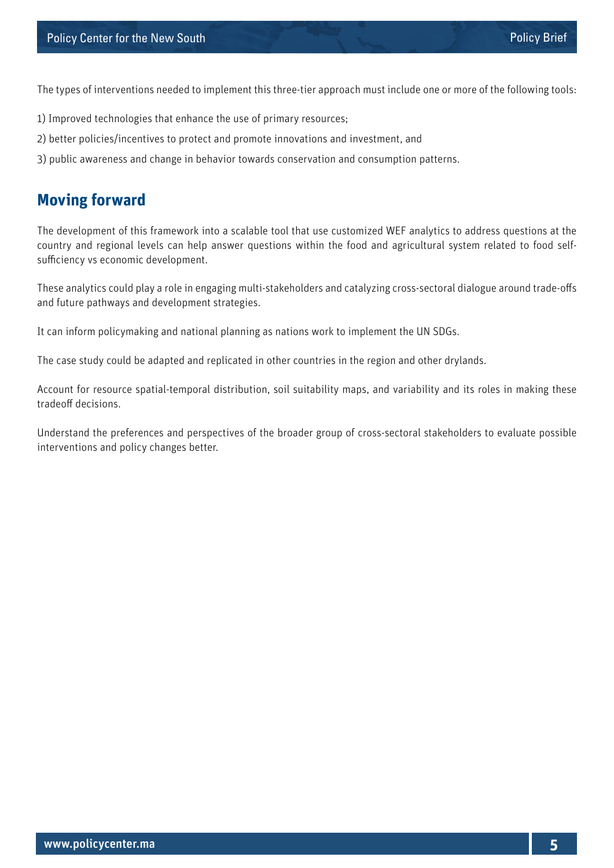The types of interventions needed to implement this three-tier approach must include one or more of the following tools:

- 1) Improved technologies that enhance the use of primary resources;
- 2) better policies/incentives to protect and promote innovations and investment, and
- 3) public awareness and change in behavior towards conservation and consumption patterns.

## **Moving forward**

The development of this framework into a scalable tool that use customized WEF analytics to address questions at the country and regional levels can help answer questions within the food and agricultural system related to food selfsufficiency vs economic development.

These analytics could play a role in engaging multi-stakeholders and catalyzing cross-sectoral dialogue around trade-offs and future pathways and development strategies.

It can inform policymaking and national planning as nations work to implement the UN SDGs.

The case study could be adapted and replicated in other countries in the region and other drylands.

Account for resource spatial-temporal distribution, soil suitability maps, and variability and its roles in making these tradeoff decisions.

Understand the preferences and perspectives of the broader group of cross-sectoral stakeholders to evaluate possible interventions and policy changes better.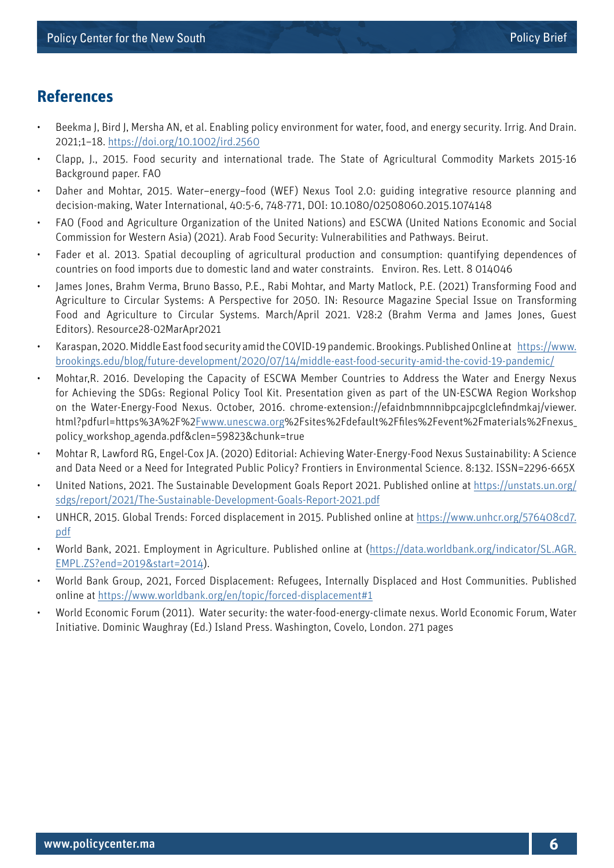### **References**

- Beekma J, Bird J, Mersha AN, et al. Enabling policy environment for water, food, and energy security. Irrig. And Drain. 2021;1–18. <https://doi.org/10.1002/ird.2560>
- Clapp, J., 2015. Food security and international trade. The State of Agricultural Commodity Markets 2015-16 Background paper. FAO
- Daher and Mohtar, 2015. Water–energy–food (WEF) Nexus Tool 2.0: guiding integrative resource planning and decision-making, Water International, 40:5-6, 748-771, DOI: 10.1080/02508060.2015.1074148
- FAO (Food and Agriculture Organization of the United Nations) and ESCWA (United Nations Economic and Social Commission for Western Asia) (2021). Arab Food Security: Vulnerabilities and Pathways. Beirut.
- Fader et al. 2013. Spatial decoupling of agricultural production and consumption: quantifying dependences of countries on food imports due to domestic land and water constraints. Environ. Res. Lett. 8 014046
- James Jones, Brahm Verma, Bruno Basso, P.E., Rabi Mohtar, and Marty Matlock, P.E. (2021) Transforming Food and Agriculture to Circular Systems: A Perspective for 2050. IN: Resource Magazine Special Issue on Transforming Food and Agriculture to Circular Systems. March/April 2021. V28:2 (Brahm Verma and James Jones, Guest Editors). Resource28-02MarApr2021
- Karaspan, 2020. Middle East food security amid the COVID-19 pandemic. Brookings. Published Online at [https://www.](https://www.brookings.edu/blog/future-development/2020/07/14/middle-east-food-security-amid-the-covid-19-pandemic/) [brookings.edu/blog/future-development/2020/07/14/middle-east-food-security-amid-the-covid-19-pandemic/](https://www.brookings.edu/blog/future-development/2020/07/14/middle-east-food-security-amid-the-covid-19-pandemic/)
- Mohtar,R. 2016. Developing the Capacity of ESCWA Member Countries to Address the Water and Energy Nexus for Achieving the SDGs: Regional Policy Tool Kit. Presentation given as part of the UN-ESCWA Region Workshop on the Water-Energy-Food Nexus. October, 2016. chrome-extension://efaidnbmnnnibpcajpcglclefindmkaj/viewer. html?pdfurl=https%3A%2F%2[Fwww.unescwa.org%](http://Fwww.unescwa.org)2Fsites%2Fdefault%2Ffiles%2Fevent%2Fmaterials%2Fnexus\_ policy\_workshop\_agenda.pdf&clen=59823&chunk=true
- Mohtar R, Lawford RG, Engel-Cox JA. (2020) Editorial: Achieving Water-Energy-Food Nexus Sustainability: A Science and Data Need or a Need for Integrated Public Policy? Frontiers in Environmental Science. 8:132. ISSN=2296-665X
- United Nations, 2021. The Sustainable Development Goals Report 2021. Published online at [https://unstats.un.org/](https://unstats.un.org/sdgs/report/2021/The-Sustainable-Development-Goals-Report-2021.pdf) [sdgs/report/2021/The-Sustainable-Development-Goals-Report-2021.pdf](https://unstats.un.org/sdgs/report/2021/The-Sustainable-Development-Goals-Report-2021.pdf)
- UNHCR, 2015. Global Trends: Forced displacement in 2015. Published online at [https://www.unhcr.org/576408cd7.](https://www.unhcr.org/576408cd7.pdf) [pdf](https://www.unhcr.org/576408cd7.pdf)
- World Bank, 2021. Employment in Agriculture. Published online at ([https://data.worldbank.org/indicator/SL.AGR.](https://data.worldbank.org/indicator/SL.AGR.EMPL.ZS?end=2019&start=2014) [EMPL.ZS?end=2019&start=2014](https://data.worldbank.org/indicator/SL.AGR.EMPL.ZS?end=2019&start=2014)).
- World Bank Group, 2021, Forced Displacement: Refugees, Internally Displaced and Host Communities. Published online at<https://www.worldbank.org/en/topic/forced-displacement#1>
- World Economic Forum (2011). Water security: the water-food-energy-climate nexus. World Economic Forum, Water Initiative. Dominic Waughray (Ed.) Island Press. Washington, Covelo, London. 271 pages